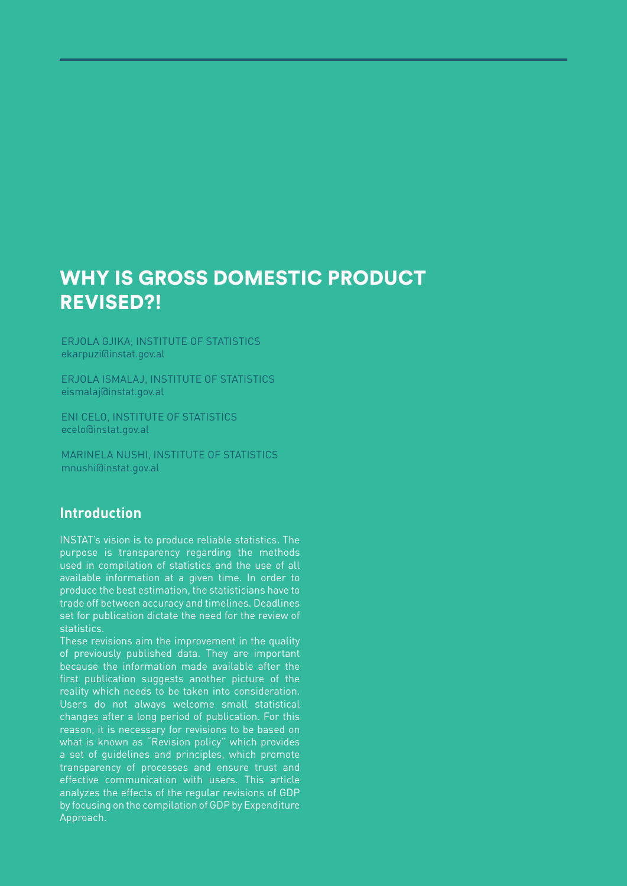# WHY IS GROSS DOMESTIC PRODUCT REVISED?!

ERJOLA GJIKA, INSTITUTE OF STATISTICS ekarpuzi@instat.gov.al

ERJOLA ISMALAJ, INSTITUTE OF STATISTICS eismalaj@instat.gov.al

ENI CELO, INSTITUTE OF STATISTICS ecelo@instat.gov.al

MARINELA NUSHI, INSTITUTE OF STATISTICS mnushi@instat.gov.al

#### **Introduction**

INSTAT's vision is to produce reliable statistics. The purpose is transparency regarding the methods used in compilation of statistics and the use of all available information at a given time. In order to produce the best estimation, the statisticians have to trade off between accuracy and timelines. Deadlines set for publication dictate the need for the review of statistics.

These revisions aim the improvement in the quality of previously published data. They are important because the information made available after the first publication suggests another picture of the reality which needs to be taken into consideration. Users do not always welcome small statistical changes after a long period of publication. For this reason, it is necessary for revisions to be based on what is known as "Revision policy" which provides a set of guidelines and principles, which promote transparency of processes and ensure trust and effective communication with users. This article analyzes the effects of the regular revisions of GDP by focusing on the compilation of GDP by Expenditure Approach.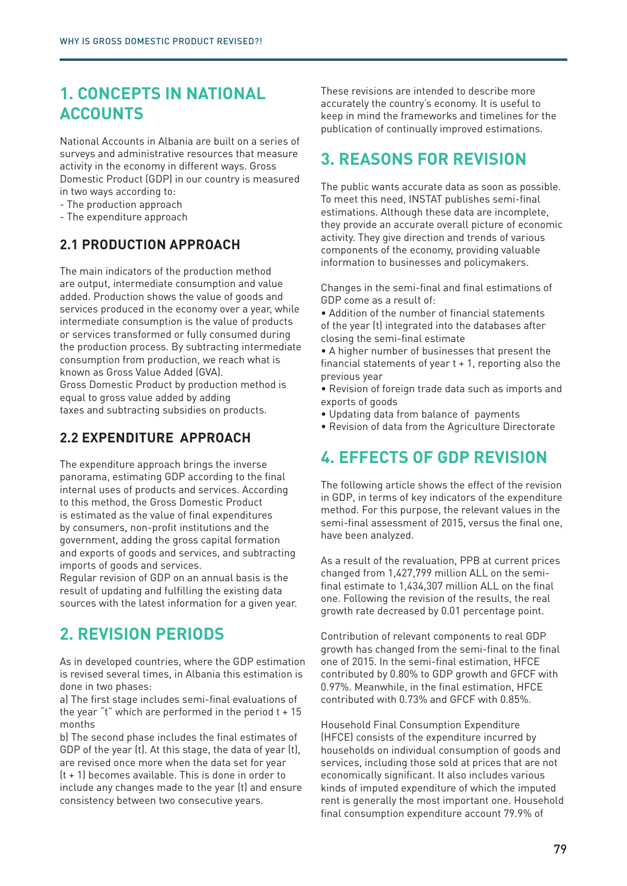### **1. CONCEPTS IN NATIONAL ACCOUNTS**

National Accounts in Albania are built on a series of surveys and administrative resources that measure activity in the economy in different ways. Gross Domestic Product (GDP) in our country is measured in two ways according to:

- The production approach
- The expenditure approach

#### **2.1 PRODUCTION APPROACH**

The main indicators of the production method are output, intermediate consumption and value added. Production shows the value of goods and services produced in the economy over a year, while intermediate consumption is the value of products or services transformed or fully consumed during the production process. By subtracting intermediate consumption from production, we reach what is known as Gross Value Added (GVA). Gross Domestic Product by production method is equal to gross value added by adding taxes and subtracting subsidies on products.

#### **2.2 EXPENDITURE APPROACH**

The expenditure approach brings the inverse panorama, estimating GDP according to the final internal uses of products and services. According to this method, the Gross Domestic Product is estimated as the value of final expenditures by consumers, non-profit institutions and the government, adding the gross capital formation and exports of goods and services, and subtracting imports of goods and services.

Regular revision of GDP on an annual basis is the result of updating and fulfilling the existing data sources with the latest information for a given year.

### **2. REVISION PERIODS**

As in developed countries, where the GDP estimation is revised several times, in Albania this estimation is done in two phases:

a) The first stage includes semi-final evaluations of the year "t" which are performed in the period  $t + 15$ months

b) The second phase includes the final estimates of GDP of the year (t). At this stage, the data of year (t), are revised once more when the data set for year (t + 1) becomes available. This is done in order to include any changes made to the year (t) and ensure consistency between two consecutive years.

These revisions are intended to describe more accurately the country's economy. It is useful to keep in mind the frameworks and timelines for the publication of continually improved estimations.

### **3. REASONS FOR REVISION**

The public wants accurate data as soon as possible. To meet this need, INSTAT publishes semi-final estimations. Although these data are incomplete, they provide an accurate overall picture of economic activity. They give direction and trends of various components of the economy, providing valuable information to businesses and policymakers.

Changes in the semi-final and final estimations of GDP come as a result of:

• Addition of the number of financial statements of the year (t) integrated into the databases after closing the semi-final estimate

• A higher number of businesses that present the financial statements of year t + 1, reporting also the previous year

- Revision of foreign trade data such as imports and exports of goods
- Updating data from balance of payments
- Revision of data from the Agriculture Directorate

## **4. EFFECTS OF GDP REVISION**

The following article shows the effect of the revision in GDP, in terms of key indicators of the expenditure method. For this purpose, the relevant values in the semi-final assessment of 2015, versus the final one, have been analyzed.

As a result of the revaluation, PPB at current prices changed from 1,427,799 million ALL on the semifinal estimate to 1,434,307 million ALL on the final one. Following the revision of the results, the real growth rate decreased by 0.01 percentage point.

Contribution of relevant components to real GDP growth has changed from the semi-final to the final one of 2015. In the semi-final estimation, HFCE contributed by 0.80% to GDP growth and GFCF with 0.97%. Meanwhile, in the final estimation, HFCE contributed with 0.73% and GFCF with 0.85%.

Household Final Consumption Expenditure (HFCE) consists of the expenditure incurred by households on individual consumption of goods and services, including those sold at prices that are not economically significant. It also includes various kinds of imputed expenditure of which the imputed rent is generally the most important one. Household final consumption expenditure account 79.9% of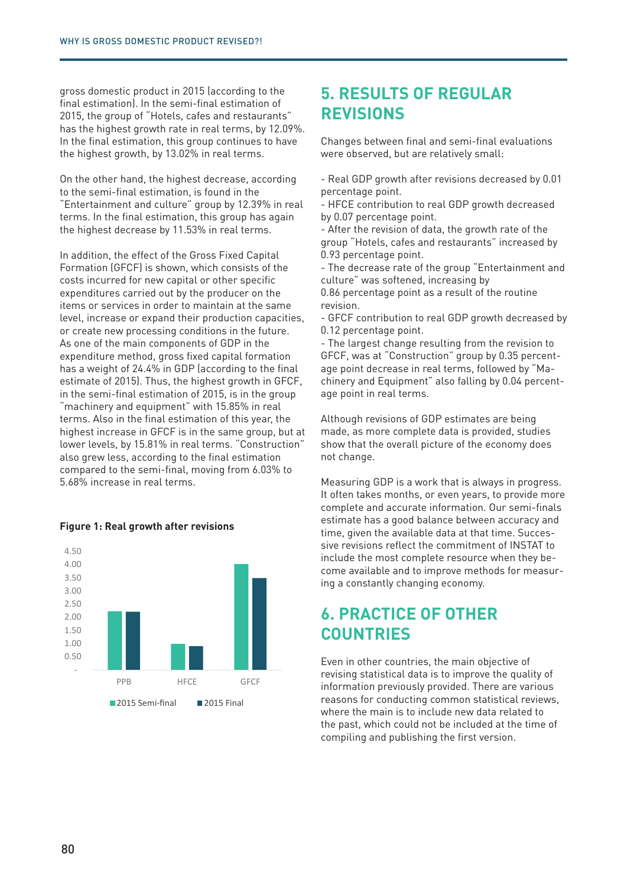gross domestic product in 2015 (according to the final estimation). In the semi-final estimation of 2015, the group of "Hotels, cafes and restaurants" has the highest growth rate in real terms, by 12.09%. In the final estimation, this group continues to have the highest growth, by 13.02% in real terms.

On the other hand, the highest decrease, according to the semi-final estimation, is found in the "Entertainment and culture" group by 12.39% in real terms. In the final estimation, this group has again the highest decrease by 11.53% in real terms.

In addition, the effect of the Gross Fixed Capital Formation (GFCF) is shown, which consists of the costs incurred for new capital or other specific expenditures carried out by the producer on the items or services in order to maintain at the same level, increase or expand their production capacities, or create new processing conditions in the future. As one of the main components of GDP in the expenditure method, gross fixed capital formation has a weight of 24.4% in GDP (according to the final estimate of 2015). Thus, the highest growth in GFCF, in the semi-final estimation of 2015, is in the group "machinery and equipment" with 15.85% in real terms. Also in the final estimation of this year, the healthough revisions of GDP estimates are being highest increase in GFCF is in the same group, but at lower levels, by 15.81% in real terms. "Construction" show that the overall picture of the economy does also grew less, according to the final estimation also grew tess, according to the miat estimation final mot change.<br>compared to the semi-final, moving from 6.03% to 5.68% increase in real terms.



#### **Figure 1: Real growth after revisions**

### **5. RESULTS OF REGULAR REVISIONS**

Changes between final and semi-final evaluations were observed, but are relatively small:

- Real GDP growth after revisions decreased by 0.01 percentage point.

- HFCE contribution to real GDP growth decreased by 0.07 percentage point.

- After the revision of data, the growth rate of the group "Hotels, cafes and restaurants" increased by 0.93 percentage point.

- The decrease rate of the group "Entertainment and culture" was softened, increasing by 0.86 percentage point as a result of the routine

revision.

- GFCF contribution to real GDP growth decreased by 0.12 percentage point.

- The largest change resulting from the revision to GFCF, was at "Construction" group by 0.35 percentage point decrease in real terms, followed by "Machinery and Equipment" also falling by 0.04 percentage point in real terms.

Although revisions of GDP estimates are being made, as more complete data is provided, studies show that the overall picture of the economy does not change.

Figures and the resultation of the real entries in the single in projection.<br>It often takes months, or even years, to provide more Measuring GDP is a work that is always in progress. complete and accurate information. Our semi-finals estimate has a good balance between accuracy and time, given the available data at that time. Successive revisions reflect the commitment of INSTAT to include the most complete resource when they become available and to improve methods for measuring a constantly changing economy.

## **6. PRACTICE OF OTHER COUNTRIES**

Even in other countries, the main objective of revising statistical data is to improve the quality of information previously provided. There are various reasons for conducting common statistical reviews, where the main is to include new data related to the past, which could not be included at the time of compiling and publishing the first version.